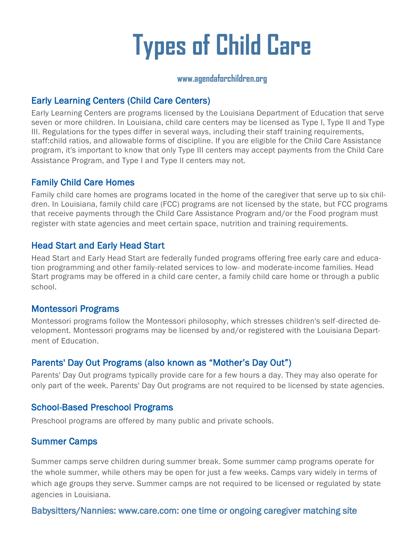# **Types of Child Care**

#### **www.agendaforchildren.org**

#### Early Learning Centers (Child Care Centers)

Early Learning Centers are programs licensed by the Louisiana Department of Education that serve seven or more children. In Louisiana, child care centers may be licensed as Type I, Type II and Type III. Regulations for the types differ in several ways, including their staff training requirements, staff:child ratios, and allowable forms of discipline. If you are eligible for the Child Care Assistance program, it's important to know that only Type III centers may accept payments from the Child Care Assistance Program, and Type I and Type II centers may not.

#### Family Child Care Homes

Family child care homes are programs located in the home of the caregiver that serve up to six children. In Louisiana, family child care (FCC) programs are not licensed by the state, but FCC programs that receive payments through the Child Care Assistance Program and/or the Food program must register with state agencies and meet certain space, nutrition and training requirements.

#### Head Start and Early Head Start

Head Start and Early Head Start are federally funded programs offering free early care and education programming and other family-related services to low- and moderate-income families. Head Start programs may be offered in a child care center, a family child care home or through a public school.

#### Montessori Programs

Montessori programs follow the Montessori philosophy, which stresses children's self-directed development. Montessori programs may be licensed by and/or registered with the Louisiana Department of Education.

#### Parents' Day Out Programs (also known as "Mother's Day Out")

Parents' Day Out programs typically provide care for a few hours a day. They may also operate for only part of the week. Parents' Day Out programs are not required to be licensed by state agencies.

#### School-Based Preschool Programs

Preschool programs are offered by many public and private schools.

#### Summer Camps

Summer camps serve children during summer break. Some summer camp programs operate for the whole summer, while others may be open for just a few weeks. Camps vary widely in terms of which age groups they serve. Summer camps are not required to be licensed or regulated by state agencies in Louisiana.

#### Babysitters/Nannies: www.care.com: one time or ongoing caregiver matching site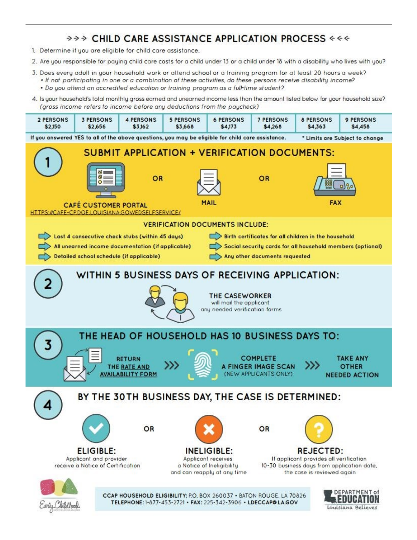### >>> CHILD CARE ASSISTANCE APPLICATION PROCESS <<<

- 1. Determine if you are eligible for child care assistance.
- 2. Are you responsible for paying child care costs for a child under 13 or a child under 18 with a disability who lives with you?
- 3. Does every adult in your household work or attend school or a training program for at least 20 hours a week?
	- If not participating in one or a combination of these activities, do these persons receive disability income? . Do you attend an accredited education or training program as a full-time student?
- 4. Is your household's total monthly gross earned and unearned income less than the amount listed below for your household size? (aross income refers to income before any deductions from the paycheck)